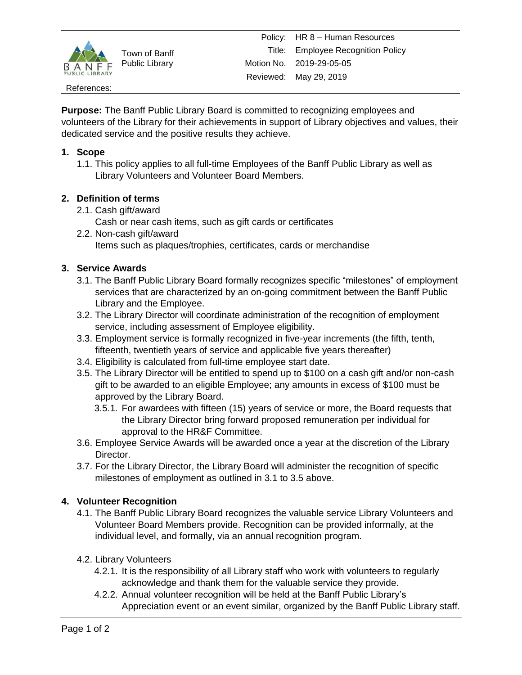

Town of Banff Public Library

### References:

**Purpose:** The Banff Public Library Board is committed to recognizing employees and volunteers of the Library for their achievements in support of Library objectives and values, their dedicated service and the positive results they achieve.

## **1. Scope**

1.1. This policy applies to all full-time Employees of the Banff Public Library as well as Library Volunteers and Volunteer Board Members.

# **2. Definition of terms**

- 2.1. Cash gift/award
	- Cash or near cash items, such as gift cards or certificates
- 2.2. Non-cash gift/award Items such as plaques/trophies, certificates, cards or merchandise

## **3. Service Awards**

- 3.1. The Banff Public Library Board formally recognizes specific "milestones" of employment services that are characterized by an on-going commitment between the Banff Public Library and the Employee.
- 3.2. The Library Director will coordinate administration of the recognition of employment service, including assessment of Employee eligibility.
- 3.3. Employment service is formally recognized in five-year increments (the fifth, tenth, fifteenth, twentieth years of service and applicable five years thereafter)
- 3.4. Eligibility is calculated from full-time employee start date.
- 3.5. The Library Director will be entitled to spend up to \$100 on a cash gift and/or non-cash gift to be awarded to an eligible Employee; any amounts in excess of \$100 must be approved by the Library Board.
	- 3.5.1. For awardees with fifteen (15) years of service or more, the Board requests that the Library Director bring forward proposed remuneration per individual for approval to the HR&F Committee.
- 3.6. Employee Service Awards will be awarded once a year at the discretion of the Library Director.
- 3.7. For the Library Director, the Library Board will administer the recognition of specific milestones of employment as outlined in 3.1 to 3.5 above.

# **4. Volunteer Recognition**

- 4.1. The Banff Public Library Board recognizes the valuable service Library Volunteers and Volunteer Board Members provide. Recognition can be provided informally, at the individual level, and formally, via an annual recognition program.
- 4.2. Library Volunteers
	- 4.2.1. It is the responsibility of all Library staff who work with volunteers to regularly acknowledge and thank them for the valuable service they provide.
	- 4.2.2. Annual volunteer recognition will be held at the Banff Public Library's Appreciation event or an event similar, organized by the Banff Public Library staff.